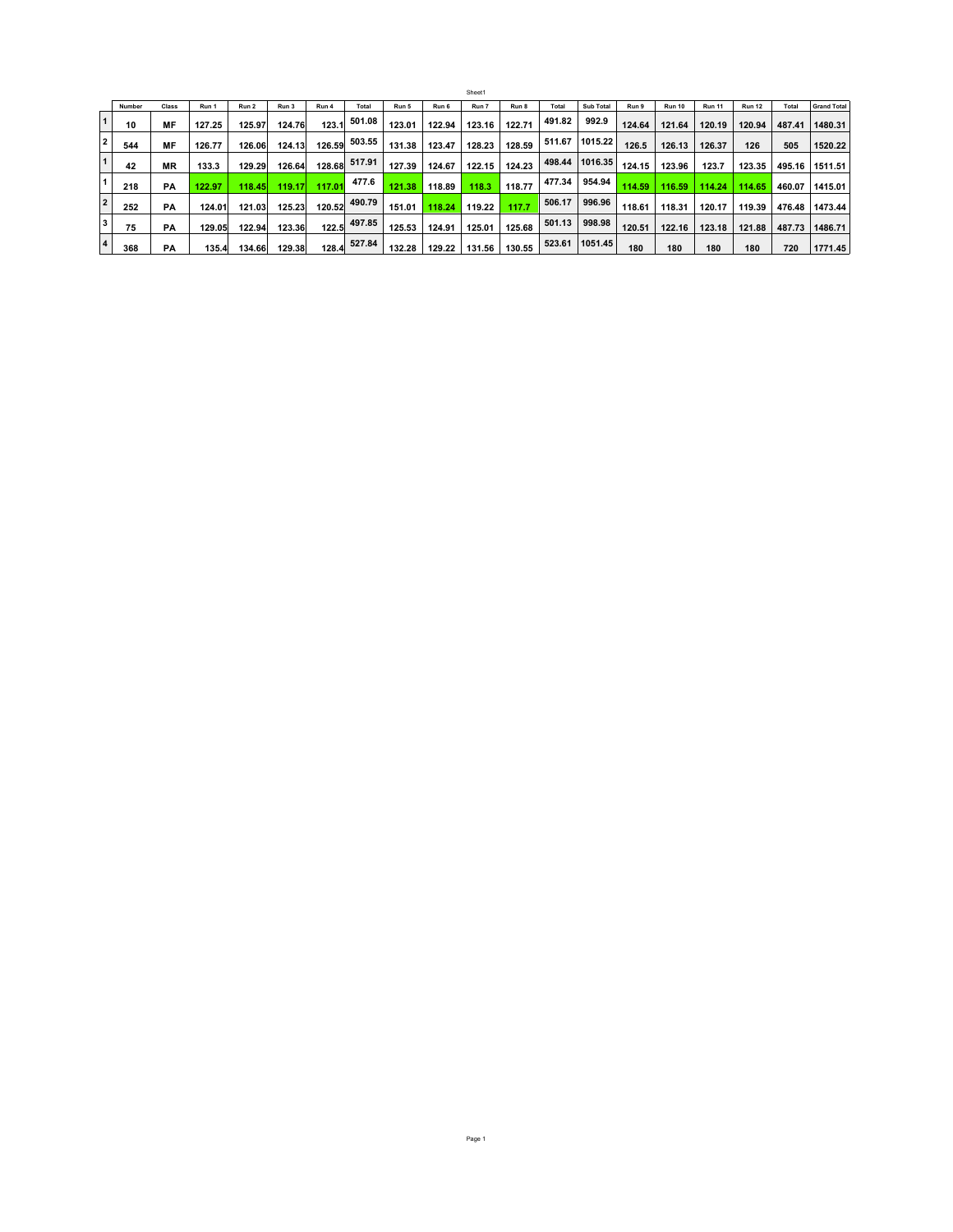|                |        |           |        |        |        |        |        |        |        | Sheet1 |        |        |                  |        |               |               |               |        |                    |
|----------------|--------|-----------|--------|--------|--------|--------|--------|--------|--------|--------|--------|--------|------------------|--------|---------------|---------------|---------------|--------|--------------------|
|                | Number | Class     | Run 1  | Run 2  | Run 3  | Run 4  | Total  | Run 5  | Run 6  | Run 7  | Run 8  | Total  | <b>Sub Total</b> | Run 9  | <b>Run 10</b> | <b>Run 11</b> | <b>Run 12</b> | Total  | <b>Grand Total</b> |
| $\mathbf{1}$   | 10     | MF        | 127.25 | 125.97 | 124.76 | 123.1  | 501.08 | 123.01 | 122.94 | 123.16 | 122.71 | 491.82 | 992.9            | 124.64 | 121.64        | 120.19        | 120.94        | 487.41 | 1480.31            |
| $\overline{2}$ | 544    | MF        | 126.77 | 126.06 | 124.13 | 126.59 | 503.55 | 131.38 | 123.47 | 128.23 | 128.59 | 511.67 | 1015.22          | 126.5  | 126.13        | 126.37        | 126           | 505    | 1520.22            |
| $\mathbf{1}$   | 42     | <b>MR</b> | 133.3  | 129.29 | 126.64 | 128.68 | 517.91 | 127.39 | 124.67 | 122.15 | 124.23 | 498.44 | 1016.35          | 124.15 | 123.96        | 123.7         | 123.35        | 495.16 | 1511.51            |
|                | 218    | PA        | 122.97 | 118.45 | 119.17 | 117.01 | 477.6  | 121.38 | 118.89 | 118.3  | 118.77 | 477.34 | 954.94           | 114.59 | 116.59        | 114.24        | 114.65        | 460.07 | 1415.01            |
| $\overline{2}$ | 252    | РA        | 124.01 | 121.03 | 125.23 | 120.52 | 490.79 | 151.01 | 118.24 | 119.22 | 117.7  | 506.17 | 996.96           | 118.61 | 118.31        | 120.17        | 119.39        | 476.48 | 1473.44            |
| 3              | 75     | PA        | 129.05 | 122.94 | 123.36 | 122.5  | 497.85 | 125.53 | 124.91 | 125.01 | 125.68 | 501.13 | 998.98           | 120.51 | 122.16        | 123.18        | 121.88        | 487.73 | 1486.71            |
| $\overline{4}$ | 368    | PA        | 135.4  | 134.66 | 129.38 | 128.4  | 527.84 | 132.28 | 129.22 | 131.56 | 130.55 | 523.61 | 1051.45          | 180    | 180           | 180           | 180           | 720    | 1771.45            |